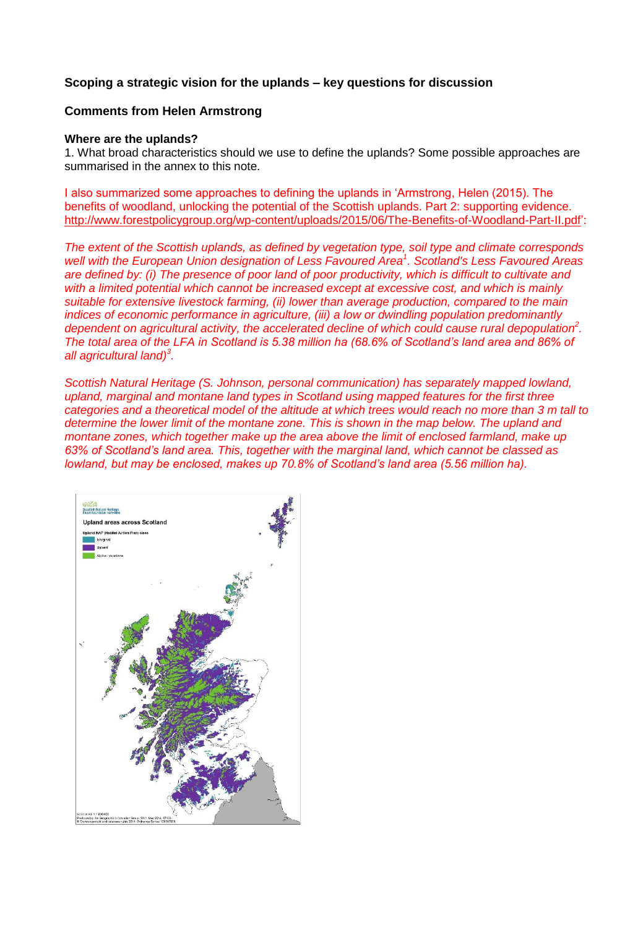# **Scoping a strategic vision for the uplands – key questions for discussion**

# **Comments from Helen Armstrong**

#### **Where are the uplands?**

1. What broad characteristics should we use to define the uplands? Some possible approaches are summarised in the annex to this note.

I also summarized some approaches to defining the uplands in 'Armstrong, Helen (2015). The benefits of woodland, unlocking the potential of the Scottish uplands. Part 2: supporting evidence. [http://www.forestpolicygroup.org/wp-content/uploads/2015/06/The-Benefits-of-Woodland-Part-II.pdf'](http://www.forestpolicygroup.org/wp-content/uploads/2015/06/The-Benefits-of-Woodland-Part-II.pdf):

*The extent of the Scottish uplands, as defined by vegetation type, soil type and climate corresponds well with the European Union designation of Less Favoured Area<sup>1</sup> . Scotland's Less Favoured Areas are defined by: (i) The presence of poor land of poor productivity, which is difficult to cultivate and with a limited potential which cannot be increased except at excessive cost, and which is mainly suitable for extensive livestock farming, (ii) lower than average production, compared to the main indices of economic performance in agriculture, (iii) a low or dwindling population predominantly dependent on agricultural activity, the accelerated decline of which could cause rural depopulatio[n](#page-1-0)<sup>2</sup> . The total area of the LFA in Scotland is 5.38 million ha (68.6% of Scotland's land area and 86% of all agricultural land[\)](#page-1-1)<sup>3</sup> .* 

*Scottish Natural Heritage (S. Johnson, personal communication) has separately mapped lowland, upland, marginal and montane land types in Scotland using mapped features for the first three categories and a theoretical model of the altitude at which trees would reach no more than 3 m tall to determine the lower limit of the montane zone. This is shown in the map below. The upland and montane zones, which together make up the area above the limit of enclosed farmland, make up 63% of Scotland's land area. This, together with the marginal land, which cannot be classed as lowland, but may be enclosed, makes up 70.8% of Scotland's land area (5.56 million ha).* 

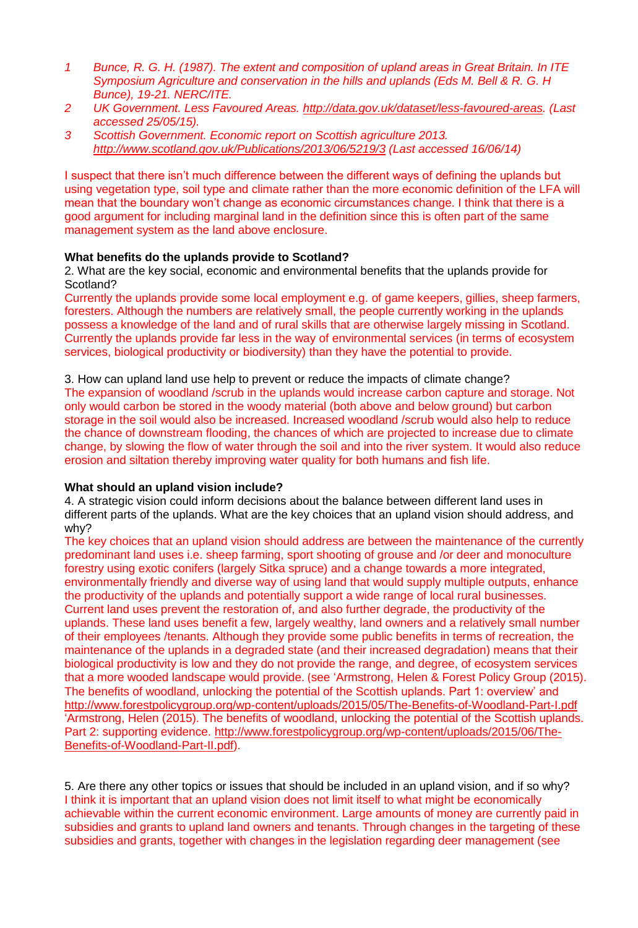- *1 Bunce, R. G. H. (1987). The extent and composition of upland areas in Great Britain. In ITE Symposium Agriculture and conservation in the hills and uplands (Eds M. Bell & R. G. H Bunce), 19-21. NERC/ITE.*
- <span id="page-1-0"></span>*2 UK Government. Less Favoured Areas. [http://data.gov.uk/dataset/less-favoured-areas.](http://data.gov.uk/dataset/less-favoured-areas) (Last accessed 25/05/15).*
- <span id="page-1-1"></span>*3 Scottish Government. Economic report on Scottish agriculture 2013. <http://www.scotland.gov.uk/Publications/2013/06/5219/3> (Last accessed 16/06/14)*

I suspect that there isn't much difference between the different ways of defining the uplands but using vegetation type, soil type and climate rather than the more economic definition of the LFA will mean that the boundary won't change as economic circumstances change. I think that there is a good argument for including marginal land in the definition since this is often part of the same management system as the land above enclosure.

## **What benefits do the uplands provide to Scotland?**

2. What are the key social, economic and environmental benefits that the uplands provide for Scotland?

Currently the uplands provide some local employment e.g. of game keepers, gillies, sheep farmers, foresters. Although the numbers are relatively small, the people currently working in the uplands possess a knowledge of the land and of rural skills that are otherwise largely missing in Scotland. Currently the uplands provide far less in the way of environmental services (in terms of ecosystem services, biological productivity or biodiversity) than they have the potential to provide.

3. How can upland land use help to prevent or reduce the impacts of climate change? The expansion of woodland /scrub in the uplands would increase carbon capture and storage. Not only would carbon be stored in the woody material (both above and below ground) but carbon storage in the soil would also be increased. Increased woodland /scrub would also help to reduce the chance of downstream flooding, the chances of which are projected to increase due to climate change, by slowing the flow of water through the soil and into the river system. It would also reduce erosion and siltation thereby improving water quality for both humans and fish life.

#### **What should an upland vision include?**

4. A strategic vision could inform decisions about the balance between different land uses in different parts of the uplands. What are the key choices that an upland vision should address, and why?

The key choices that an upland vision should address are between the maintenance of the currently predominant land uses i.e. sheep farming, sport shooting of grouse and /or deer and monoculture forestry using exotic conifers (largely Sitka spruce) and a change towards a more integrated, environmentally friendly and diverse way of using land that would supply multiple outputs, enhance the productivity of the uplands and potentially support a wide range of local rural businesses. Current land uses prevent the restoration of, and also further degrade, the productivity of the uplands. These land uses benefit a few, largely wealthy, land owners and a relatively small number of their employees /tenants. Although they provide some public benefits in terms of recreation, the maintenance of the uplands in a degraded state (and their increased degradation) means that their biological productivity is low and they do not provide the range, and degree, of ecosystem services that a more wooded landscape would provide. (see 'Armstrong, Helen & Forest Policy Group (2015). The benefits of woodland, unlocking the potential of the Scottish uplands. Part 1: overview' and <http://www.forestpolicygroup.org/wp-content/uploads/2015/05/The-Benefits-of-Woodland-Part-I.pdf> 'Armstrong, Helen (2015). The benefits of woodland, unlocking the potential of the Scottish uplands. Part 2: supporting evidence. [http://www.forestpolicygroup.org/wp-content/uploads/2015/06/The-](http://www.forestpolicygroup.org/wp-content/uploads/2015/06/The-Benefits-of-Woodland-Part-II.pdf)[Benefits-of-Woodland-Part-II.pdf\)](http://www.forestpolicygroup.org/wp-content/uploads/2015/06/The-Benefits-of-Woodland-Part-II.pdf).

5. Are there any other topics or issues that should be included in an upland vision, and if so why? I think it is important that an upland vision does not limit itself to what might be economically achievable within the current economic environment. Large amounts of money are currently paid in subsidies and grants to upland land owners and tenants. Through changes in the targeting of these subsidies and grants, together with changes in the legislation regarding deer management (see